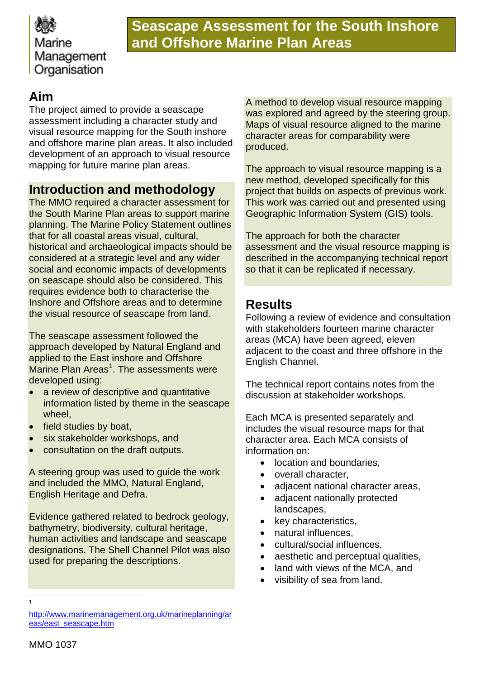

## **Seascape Assessment for the South Inshore and Offshore Marine Plan Areas**

## **Aim**

The project aimed to provide a seascape assessment including a character study and visual resource mapping for the South inshore and offshore marine plan areas. It also included development of an approach to visual resource mapping for future marine plan areas.

### **Introduction and methodology**

The MMO required a character assessment for the South Marine Plan areas to support marine planning. The Marine Policy Statement outlines that for all coastal areas visual, cultural, historical and archaeological impacts should be considered at a strategic level and any wider social and economic impacts of developments on seascape should also be considered. This requires evidence both to characterise the Inshore and Offshore areas and to determine the visual resource of seascape from land.

The seascape assessment followed the approach developed by Natural England and applied to the East inshore and Offshore Marine Plan Areas<sup>[1](#page-0-0)</sup>. The assessments were developed using:

- a review of descriptive and quantitative information listed by theme in the seascape wheel,
- field studies by boat,
- six stakeholder workshops, and
- consultation on the draft outputs.

A steering group was used to guide the work and included the MMO, Natural England, English Heritage and Defra.

Evidence gathered related to bedrock geology, bathymetry, biodiversity, cultural heritage, human activities and landscape and seascape designations. The Shell Channel Pilot was also used for preparing the descriptions.

A method to develop visual resource mapping was explored and agreed by the steering group. Maps of visual resource aligned to the marine character areas for comparability were produced.

The approach to visual resource mapping is a new method, developed specifically for this project that builds on aspects of previous work. This work was carried out and presented using Geographic Information System (GIS) tools.

The approach for both the character assessment and the visual resource mapping is described in the accompanying technical report so that it can be replicated if necessary.

## **Results**

Following a review of evidence and consultation with stakeholders fourteen marine character areas (MCA) have been agreed, eleven adjacent to the coast and three offshore in the English Channel.

The technical report contains notes from the discussion at stakeholder workshops.

Each MCA is presented separately and includes the visual resource maps for that character area. Each MCA consists of information on:

- location and boundaries,
- overall character,
- adjacent national character areas,
- adjacent nationally protected landscapes,
- key characteristics,
- natural influences,
- cultural/social influences,
- aesthetic and perceptual qualities,
- land with views of the MCA, and
- visibility of sea from land.

1  $\overline{a}$ 

<span id="page-0-0"></span>[http://www.marinemanagement.org.uk/marineplanning/ar](http://www.marinemanagement.org.uk/marineplanning/areas/east_seascape.htm) [eas/east\\_seascape.htm](http://www.marinemanagement.org.uk/marineplanning/areas/east_seascape.htm)